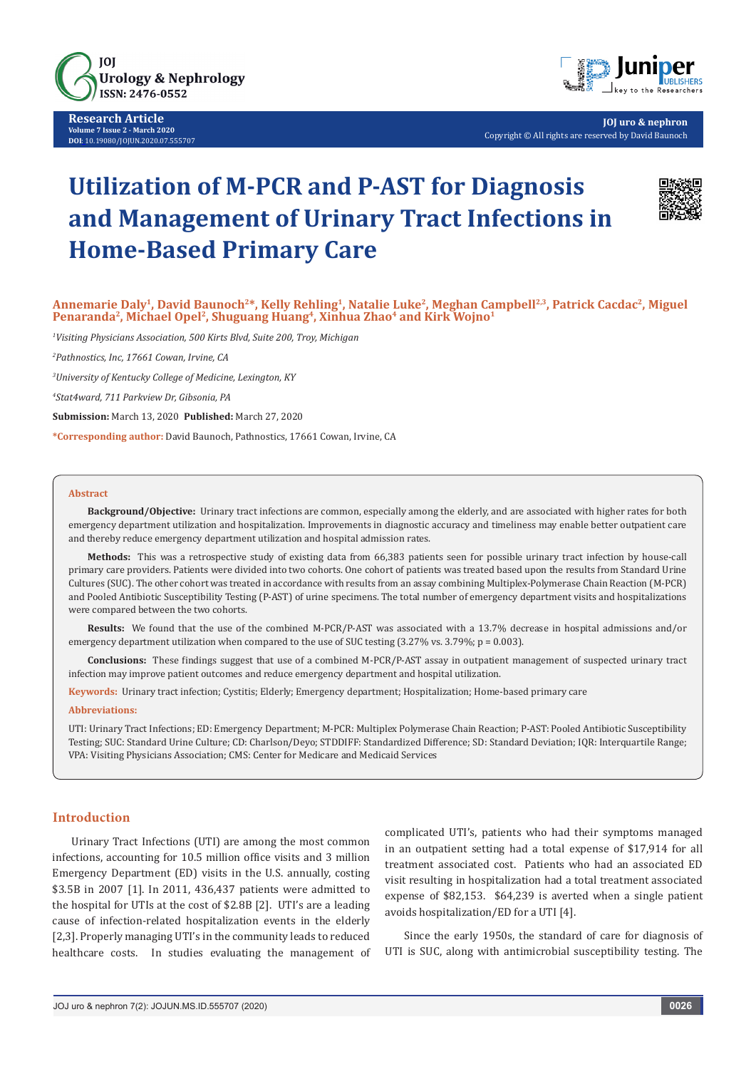

**Research Article Volume 7 Issue 2 - March 2020 DOI**: [10.19080/JOJUN.2020.07.555707](http://dx.doi.org/10.19080/JOJUN.2020.07.555707)



**JOJ uro & nephron** Copyright © All rights are reserved by David Baunoch

# **Utilization of M-PCR and P-AST for Diagnosis and Management of Urinary Tract Infections in Home-Based Primary Care**



Annemarie Daly<sup>1</sup>, David Baunoch<sup>2\*</sup>, Kelly Rehling<sup>1</sup>, Natalie Luke<sup>2</sup>, Meghan Campbell<sup>2,3</sup>, Patrick Cacdac<sup>2</sup>, Miguel Penaranda<sup>2</sup>, Michael Opel<sup>2</sup>, Shuguang Huang<sup>4</sup>, Xinhua Zhao<sup>4</sup> and Kirk Wojno<sup>1</sup>

*1 Visiting Physicians Association, 500 Kirts Blvd, Suite 200, Troy, Michigan*

*2 Pathnostics, Inc, 17661 Cowan, Irvine, CA*

*3 University of Kentucky College of Medicine, Lexington, KY*

*4 Stat4ward, 711 Parkview Dr, Gibsonia, PA*

**Submission:** March 13, 2020 **Published:** March 27, 2020

**\*Corresponding author:** David Baunoch, Pathnostics, 17661 Cowan, Irvine, CA

#### **Abstract**

**Background/Objective:** Urinary tract infections are common, especially among the elderly, and are associated with higher rates for both emergency department utilization and hospitalization. Improvements in diagnostic accuracy and timeliness may enable better outpatient care and thereby reduce emergency department utilization and hospital admission rates.

**Methods:** This was a retrospective study of existing data from 66,383 patients seen for possible urinary tract infection by house-call primary care providers. Patients were divided into two cohorts. One cohort of patients was treated based upon the results from Standard Urine Cultures (SUC). The other cohort was treated in accordance with results from an assay combining Multiplex-Polymerase Chain Reaction (M-PCR) and Pooled Antibiotic Susceptibility Testing (P-AST) of urine specimens. The total number of emergency department visits and hospitalizations were compared between the two cohorts.

**Results:** We found that the use of the combined M-PCR/P-AST was associated with a 13.7% decrease in hospital admissions and/or emergency department utilization when compared to the use of SUC testing (3.27% vs. 3.79%; p = 0.003).

**Conclusions:** These findings suggest that use of a combined M-PCR/P-AST assay in outpatient management of suspected urinary tract infection may improve patient outcomes and reduce emergency department and hospital utilization.

**Keywords:** Urinary tract infection; Cystitis; Elderly; Emergency department; Hospitalization; Home-based primary care

#### **Abbreviations:**

UTI: Urinary Tract Infections; ED: Emergency Department; M-PCR: Multiplex Polymerase Chain Reaction; P-AST: Pooled Antibiotic Susceptibility Testing; SUC: Standard Urine Culture; CD: Charlson/Deyo; STDDIFF: Standardized Difference; SD: Standard Deviation; IQR: Interquartile Range; VPA: Visiting Physicians Association; CMS: Center for Medicare and Medicaid Services

#### **Introduction**

Urinary Tract Infections (UTI) are among the most common infections, accounting for 10.5 million office visits and 3 million Emergency Department (ED) visits in the U.S. annually, costing \$3.5B in 2007 [1]. In 2011, 436,437 patients were admitted to the hospital for UTIs at the cost of \$2.8B [2]. UTI's are a leading cause of infection-related hospitalization events in the elderly [2,3]. Properly managing UTI's in the community leads to reduced healthcare costs. In studies evaluating the management of complicated UTI's, patients who had their symptoms managed in an outpatient setting had a total expense of \$17,914 for all treatment associated cost. Patients who had an associated ED visit resulting in hospitalization had a total treatment associated expense of \$82,153. \$64,239 is averted when a single patient avoids hospitalization/ED for a UTI [4].

Since the early 1950s, the standard of care for diagnosis of UTI is SUC, along with antimicrobial susceptibility testing. The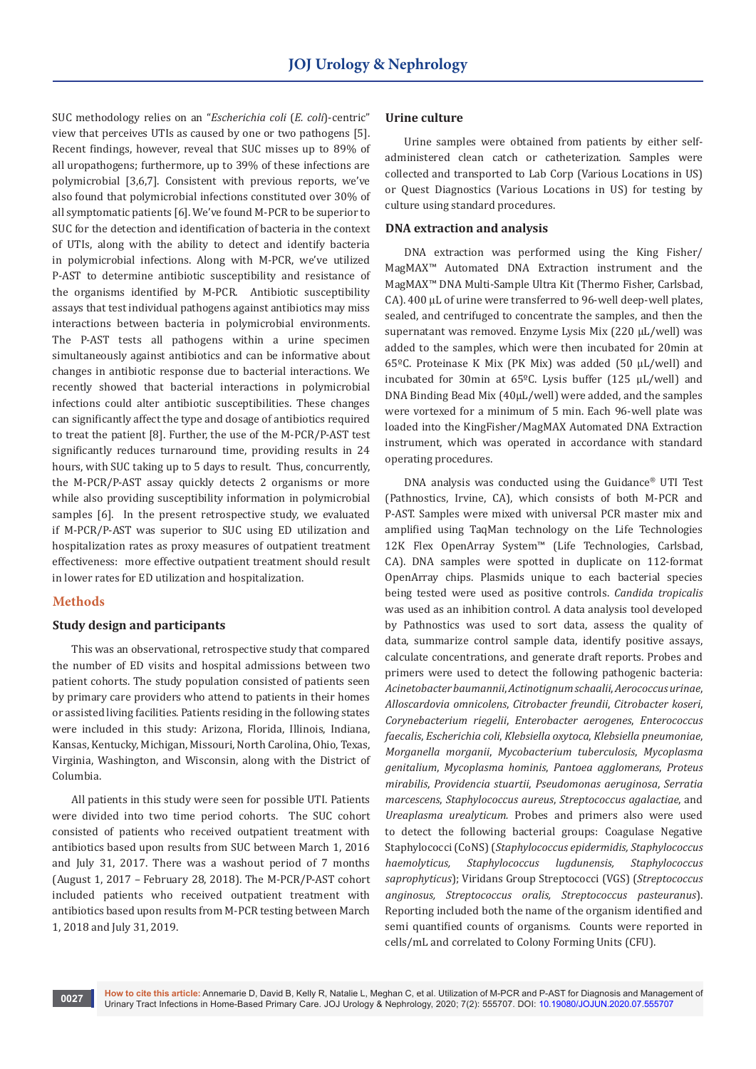SUC methodology relies on an "*Escherichia coli* (*E. coli*)-centric" view that perceives UTIs as caused by one or two pathogens [5]. Recent findings, however, reveal that SUC misses up to 89% of all uropathogens; furthermore, up to 39% of these infections are polymicrobial [3,6,7]. Consistent with previous reports, we've also found that polymicrobial infections constituted over 30% of all symptomatic patients [6]. We've found M-PCR to be superior to SUC for the detection and identification of bacteria in the context of UTIs, along with the ability to detect and identify bacteria in polymicrobial infections. Along with M-PCR, we've utilized P-AST to determine antibiotic susceptibility and resistance of the organisms identified by M-PCR. Antibiotic susceptibility assays that test individual pathogens against antibiotics may miss interactions between bacteria in polymicrobial environments. The P-AST tests all pathogens within a urine specimen simultaneously against antibiotics and can be informative about changes in antibiotic response due to bacterial interactions. We recently showed that bacterial interactions in polymicrobial infections could alter antibiotic susceptibilities. These changes can significantly affect the type and dosage of antibiotics required to treat the patient [8]. Further, the use of the M-PCR/P-AST test significantly reduces turnaround time, providing results in 24 hours, with SUC taking up to 5 days to result. Thus, concurrently, the M-PCR/P-AST assay quickly detects 2 organisms or more while also providing susceptibility information in polymicrobial samples [6]. In the present retrospective study, we evaluated if M-PCR/P-AST was superior to SUC using ED utilization and hospitalization rates as proxy measures of outpatient treatment effectiveness: more effective outpatient treatment should result in lower rates for ED utilization and hospitalization.

# **Methods**

#### **Study design and participants**

This was an observational, retrospective study that compared the number of ED visits and hospital admissions between two patient cohorts. The study population consisted of patients seen by primary care providers who attend to patients in their homes or assisted living facilities. Patients residing in the following states were included in this study: Arizona, Florida, Illinois, Indiana, Kansas, Kentucky, Michigan, Missouri, North Carolina, Ohio, Texas, Virginia, Washington, and Wisconsin, along with the District of Columbia.

All patients in this study were seen for possible UTI. Patients were divided into two time period cohorts. The SUC cohort consisted of patients who received outpatient treatment with antibiotics based upon results from SUC between March 1, 2016 and July 31, 2017. There was a washout period of 7 months (August 1, 2017 – February 28, 2018). The M-PCR/P-AST cohort included patients who received outpatient treatment with antibiotics based upon results from M-PCR testing between March 1, 2018 and July 31, 2019.

## **Urine culture**

Urine samples were obtained from patients by either selfadministered clean catch or catheterization. Samples were collected and transported to Lab Corp (Various Locations in US) or Quest Diagnostics (Various Locations in US) for testing by culture using standard procedures.

## **DNA extraction and analysis**

DNA extraction was performed using the King Fisher/ MagMAX™ Automated DNA Extraction instrument and the MagMAX™ DNA Multi-Sample Ultra Kit (Thermo Fisher, Carlsbad, CA). 400 µL of urine were transferred to 96-well deep-well plates, sealed, and centrifuged to concentrate the samples, and then the supernatant was removed. Enzyme Lysis Mix (220 µL/well) was added to the samples, which were then incubated for 20min at 65ºC. Proteinase K Mix (PK Mix) was added (50 µL/well) and incubated for 30min at  $65^{\circ}$ C. Lysis buffer (125 µL/well) and DNA Binding Bead Mix (40µL/well) were added, and the samples were vortexed for a minimum of 5 min. Each 96-well plate was loaded into the KingFisher/MagMAX Automated DNA Extraction instrument, which was operated in accordance with standard operating procedures.

DNA analysis was conducted using the Guidance® UTI Test (Pathnostics, Irvine, CA), which consists of both M-PCR and P-AST. Samples were mixed with universal PCR master mix and amplified using TaqMan technology on the Life Technologies 12K Flex OpenArray System™ (Life Technologies, Carlsbad, CA). DNA samples were spotted in duplicate on 112-format OpenArray chips. Plasmids unique to each bacterial species being tested were used as positive controls. *Candida tropicalis* was used as an inhibition control. A data analysis tool developed by Pathnostics was used to sort data, assess the quality of data, summarize control sample data, identify positive assays, calculate concentrations, and generate draft reports. Probes and primers were used to detect the following pathogenic bacteria: *Acinetobacter baumannii*, *Actinotignum schaalii*, *Aerococcus urinae*, *Alloscardovia omnicolens*, *Citrobacter freundii*, *Citrobacter koseri*, *Corynebacterium riegelii*, *Enterobacter aerogenes*, *Enterococcus faecalis*, *Escherichia coli*, *Klebsiella oxytoca*, *Klebsiella pneumoniae*, *Morganella morganii*, *Mycobacterium tuberculosis*, *Mycoplasma genitalium*, *Mycoplasma hominis*, *Pantoea agglomerans*, *Proteus mirabilis*, *Providencia stuartii*, *Pseudomonas aeruginosa*, *Serratia marcescens*, *Staphylococcus aureus*, *Streptococcus agalactiae*, and *Ureaplasma urealyticum.* Probes and primers also were used to detect the following bacterial groups: Coagulase Negative Staphylococci (CoNS) (*Staphylococcus epidermidis, Staphylococcus haemolyticus, Staphylococcus lugdunensis, Staphylococcus saprophyticus*); Viridans Group Streptococci (VGS) (*Streptococcus anginosus, Streptococcus oralis, Streptococcus pasteuranus*). Reporting included both the name of the organism identified and semi quantified counts of organisms. Counts were reported in cells/mL and correlated to Colony Forming Units (CFU).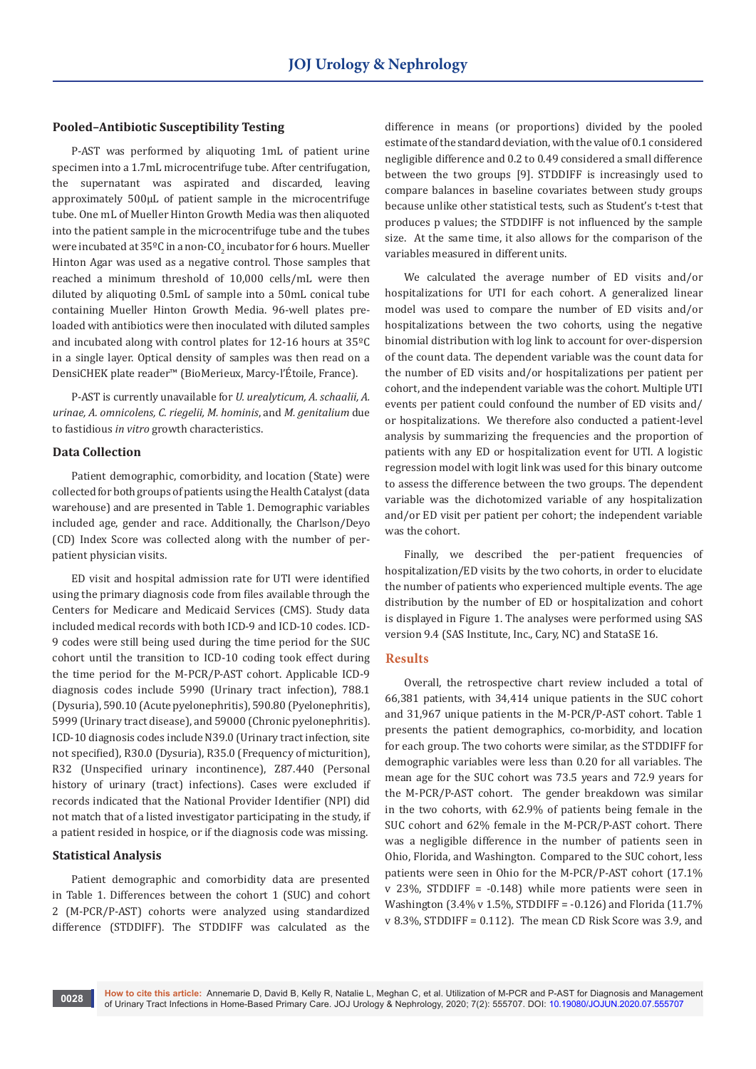## **Pooled–Antibiotic Susceptibility Testing**

P-AST was performed by aliquoting 1mL of patient urine specimen into a 1.7mL microcentrifuge tube. After centrifugation, the supernatant was aspirated and discarded, leaving approximately 500µL of patient sample in the microcentrifuge tube. One mL of Mueller Hinton Growth Media was then aliquoted into the patient sample in the microcentrifuge tube and the tubes were incubated at 35°C in a non-CO $_2$  incubator for 6 hours. Mueller Hinton Agar was used as a negative control. Those samples that reached a minimum threshold of 10,000 cells/mL were then diluted by aliquoting 0.5mL of sample into a 50mL conical tube containing Mueller Hinton Growth Media. 96-well plates preloaded with antibiotics were then inoculated with diluted samples and incubated along with control plates for 12-16 hours at 35ºC in a single layer. Optical density of samples was then read on a DensiCHEK plate reader™ (BioMerieux, Marcy-l'Étoile, France).

P-AST is currently unavailable for *U. urealyticum, A. schaalii, A. urinae, A. omnicolens, C. riegelii, M. hominis*, and *M. genitalium* due to fastidious *in vitro* growth characteristics.

#### **Data Collection**

Patient demographic, comorbidity, and location (State) were collected for both groups of patients using the Health Catalyst (data warehouse) and are presented in Table 1. Demographic variables included age, gender and race. Additionally, the Charlson/Deyo (CD) Index Score was collected along with the number of perpatient physician visits.

ED visit and hospital admission rate for UTI were identified using the primary diagnosis code from files available through the Centers for Medicare and Medicaid Services (CMS). Study data included medical records with both ICD-9 and ICD-10 codes. ICD-9 codes were still being used during the time period for the SUC cohort until the transition to ICD-10 coding took effect during the time period for the M-PCR/P-AST cohort. Applicable ICD-9 diagnosis codes include 5990 (Urinary tract infection), 788.1 (Dysuria), 590.10 (Acute pyelonephritis), 590.80 (Pyelonephritis), 5999 (Urinary tract disease), and 59000 (Chronic pyelonephritis). ICD-10 diagnosis codes include N39.0 (Urinary tract infection, site not specified), R30.0 (Dysuria), R35.0 (Frequency of micturition), R32 (Unspecified urinary incontinence), Z87.440 (Personal history of urinary (tract) infections). Cases were excluded if records indicated that the National Provider Identifier (NPI) did not match that of a listed investigator participating in the study, if a patient resided in hospice, or if the diagnosis code was missing.

## **Statistical Analysis**

Patient demographic and comorbidity data are presented in Table 1. Differences between the cohort 1 (SUC) and cohort 2 (M-PCR/P-AST) cohorts were analyzed using standardized difference (STDDIFF). The STDDIFF was calculated as the

difference in means (or proportions) divided by the pooled estimate of the standard deviation, with the value of 0.1 considered negligible difference and 0.2 to 0.49 considered a small difference between the two groups [9]. STDDIFF is increasingly used to compare balances in baseline covariates between study groups because unlike other statistical tests, such as Student's t-test that produces p values; the STDDIFF is not influenced by the sample size. At the same time, it also allows for the comparison of the variables measured in different units.

We calculated the average number of ED visits and/or hospitalizations for UTI for each cohort. A generalized linear model was used to compare the number of ED visits and/or hospitalizations between the two cohorts, using the negative binomial distribution with log link to account for over-dispersion of the count data. The dependent variable was the count data for the number of ED visits and/or hospitalizations per patient per cohort, and the independent variable was the cohort. Multiple UTI events per patient could confound the number of ED visits and/ or hospitalizations. We therefore also conducted a patient-level analysis by summarizing the frequencies and the proportion of patients with any ED or hospitalization event for UTI. A logistic regression model with logit link was used for this binary outcome to assess the difference between the two groups. The dependent variable was the dichotomized variable of any hospitalization and/or ED visit per patient per cohort; the independent variable was the cohort.

Finally, we described the per-patient frequencies of hospitalization/ED visits by the two cohorts, in order to elucidate the number of patients who experienced multiple events. The age distribution by the number of ED or hospitalization and cohort is displayed in Figure 1. The analyses were performed using SAS version 9.4 (SAS Institute, Inc., Cary, NC) and StataSE 16.

#### **Results**

Overall, the retrospective chart review included a total of 66,381 patients, with 34,414 unique patients in the SUC cohort and 31,967 unique patients in the M-PCR/P-AST cohort. Table 1 presents the patient demographics, co-morbidity, and location for each group. The two cohorts were similar, as the STDDIFF for demographic variables were less than 0.20 for all variables. The mean age for the SUC cohort was 73.5 years and 72.9 years for the M-PCR/P-AST cohort. The gender breakdown was similar in the two cohorts, with 62.9% of patients being female in the SUC cohort and 62% female in the M-PCR/P-AST cohort. There was a negligible difference in the number of patients seen in Ohio, Florida, and Washington. Compared to the SUC cohort, less patients were seen in Ohio for the M-PCR/P-AST cohort (17.1% v 23%, STDDIFF = -0.148) while more patients were seen in Washington (3.4% v 1.5%, STDDIFF =  $-0.126$ ) and Florida (11.7%)  $v$  8.3%, STDDIFF = 0.112). The mean CD Risk Score was 3.9, and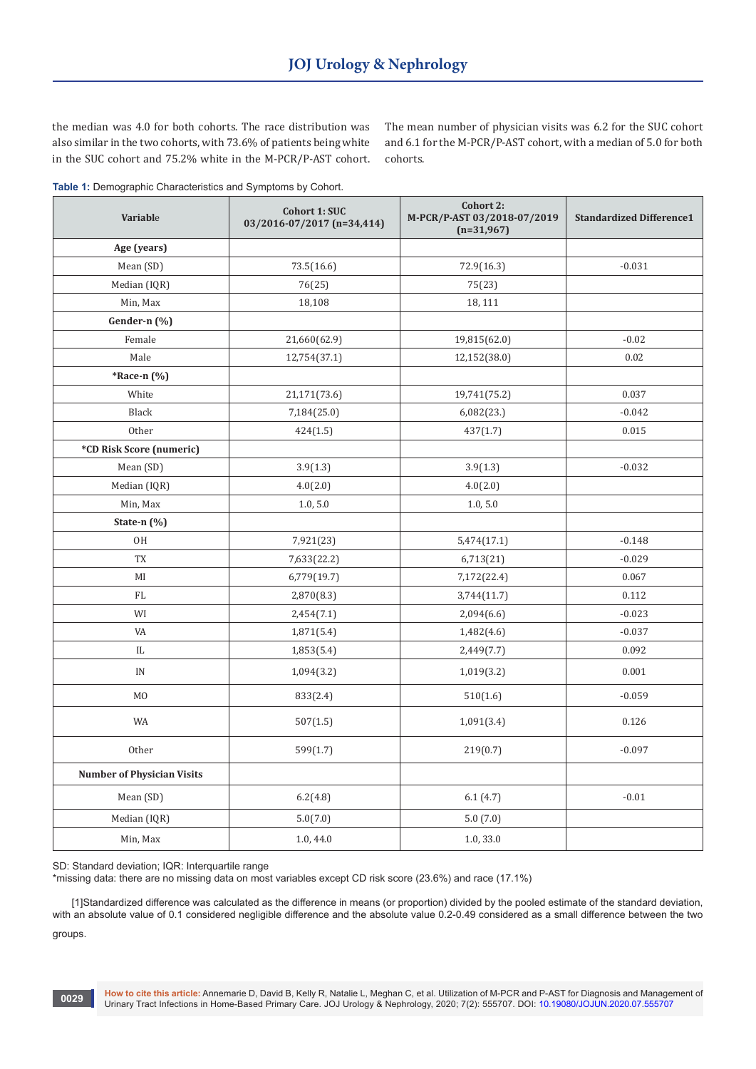the median was 4.0 for both cohorts. The race distribution was also similar in the two cohorts, with 73.6% of patients being white in the SUC cohort and 75.2% white in the M-PCR/P-AST cohort. The mean number of physician visits was 6.2 for the SUC cohort and 6.1 for the M-PCR/P-AST cohort, with a median of 5.0 for both cohorts.

**Table 1:** Demographic Characteristics and Symptoms by Cohort.

| Variable                          | Cohort 2:<br><b>Cohort 1: SUC</b><br>M-PCR/P-AST 03/2018-07/2019<br>03/2016-07/2017 (n=34,414)<br>$(n=31,967)$ |              | <b>Standardized Difference1</b> |
|-----------------------------------|----------------------------------------------------------------------------------------------------------------|--------------|---------------------------------|
| Age (years)                       |                                                                                                                |              |                                 |
| Mean (SD)                         | 73.5(16.6)                                                                                                     | 72.9(16.3)   | $-0.031$                        |
| Median (IQR)                      | 76(25)                                                                                                         | 75(23)       |                                 |
| Min, Max                          | 18,108                                                                                                         | 18, 111      |                                 |
| Gender-n (%)                      |                                                                                                                |              |                                 |
| Female                            | 21,660(62.9)                                                                                                   | 19,815(62.0) | $-0.02$                         |
| Male                              | 12,754(37.1)                                                                                                   | 12,152(38.0) | 0.02                            |
| *Race-n (%)                       |                                                                                                                |              |                                 |
| White                             | 21,171(73.6)                                                                                                   | 19,741(75.2) | 0.037                           |
| Black                             | 7,184(25.0)                                                                                                    | 6,082(23.)   | $-0.042$                        |
| Other                             | 424(1.5)                                                                                                       | 437(1.7)     | 0.015                           |
| *CD Risk Score (numeric)          |                                                                                                                |              |                                 |
| Mean (SD)                         | 3.9(1.3)                                                                                                       | 3.9(1.3)     | $-0.032$                        |
| Median (IQR)                      | 4.0(2.0)                                                                                                       | 4.0(2.0)     |                                 |
| Min, Max                          | 1.0, 5.0                                                                                                       | 1.0, 5.0     |                                 |
| State-n $(\%)$                    |                                                                                                                |              |                                 |
| 0H                                | 7,921(23)                                                                                                      | 5,474(17.1)  | $-0.148$                        |
| TX                                | 7,633(22.2)                                                                                                    | 6,713(21)    | $-0.029$                        |
| MI                                | 6,779(19.7)                                                                                                    | 7,172(22.4)  | 0.067                           |
| FL                                | 2,870(8.3)                                                                                                     | 3,744(11.7)  | 0.112                           |
| WI                                | 2,454(7.1)                                                                                                     | 2,094(6.6)   | $-0.023$                        |
| VA                                | 1,871(5.4)                                                                                                     | 1,482(4.6)   | $-0.037$                        |
| IL                                | 1,853(5.4)                                                                                                     | 2,449(7.7)   | 0.092                           |
| IN                                | 1,094(3.2)                                                                                                     | 1,019(3.2)   | 0.001                           |
| M <sub>0</sub>                    | 833(2.4)                                                                                                       | 510(1.6)     | $-0.059$                        |
| WA                                | 507(1.5)                                                                                                       | 1,091(3.4)   | 0.126                           |
| Other                             | 599(1.7)                                                                                                       | 219(0.7)     | $-0.097$                        |
| <b>Number of Physician Visits</b> |                                                                                                                |              |                                 |
| Mean (SD)                         | 6.2(4.8)                                                                                                       | 6.1(4.7)     | $-0.01$                         |
| Median (IQR)                      | 5.0(7.0)                                                                                                       | 5.0(7.0)     |                                 |
| Min, Max                          | 1.0, 44.0                                                                                                      | 1.0, 33.0    |                                 |

SD: Standard deviation; IQR: Interquartile range

\*missing data: there are no missing data on most variables except CD risk score (23.6%) and race (17.1%)

[1]Standardized difference was calculated as the difference in means (or proportion) divided by the pooled estimate of the standard deviation, with an absolute value of 0.1 considered negligible difference and the absolute value 0.2-0.49 considered as a small difference between the two groups.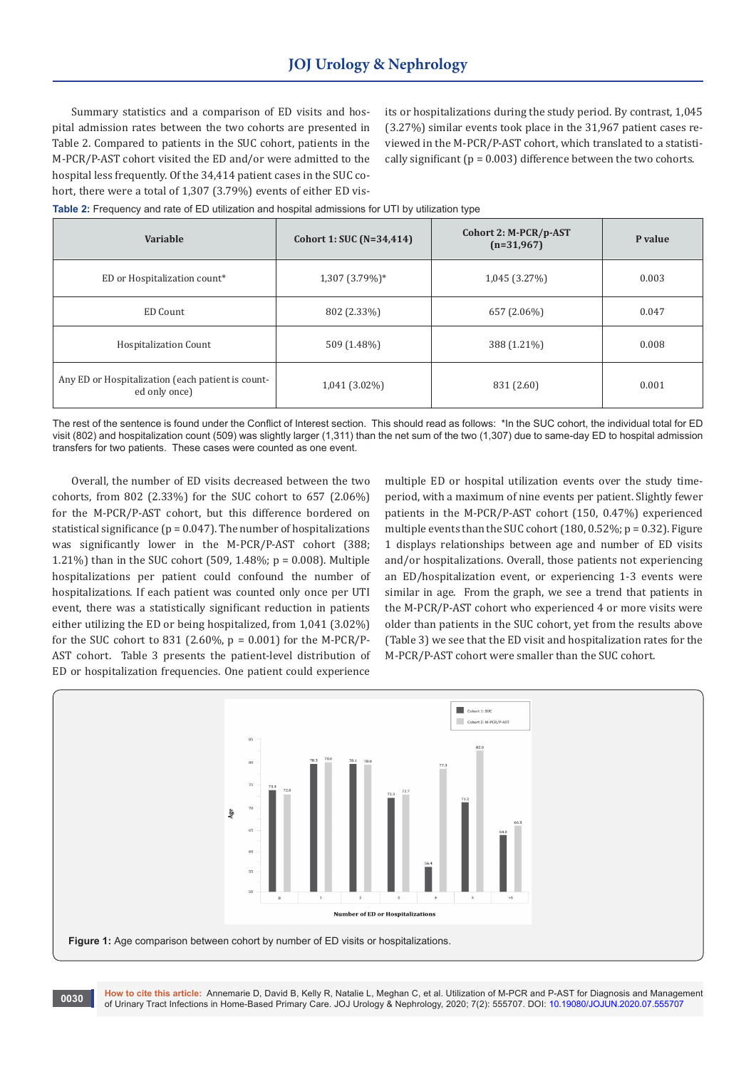Summary statistics and a comparison of ED visits and hospital admission rates between the two cohorts are presented in Table 2. Compared to patients in the SUC cohort, patients in the M-PCR/P-AST cohort visited the ED and/or were admitted to the hospital less frequently. Of the 34,414 patient cases in the SUC cohort, there were a total of 1,307 (3.79%) events of either ED visits or hospitalizations during the study period. By contrast, 1,045 (3.27%) similar events took place in the 31,967 patient cases reviewed in the M-PCR/P-AST cohort, which translated to a statistically significant ( $p = 0.003$ ) difference between the two cohorts.

**Table 2:** Frequency and rate of ED utilization and hospital admissions for UTI by utilization type

| Variable                                                           | Cohort 1: SUC (N=34,414) | Cohort 2: M-PCR/p-AST<br>$(n=31,967)$ | P value |
|--------------------------------------------------------------------|--------------------------|---------------------------------------|---------|
| ED or Hospitalization count*                                       | 1,307 (3.79%)*           | 1,045 (3.27%)                         | 0.003   |
| ED Count                                                           | 802 (2.33%)              | 657 (2.06%)                           | 0.047   |
| <b>Hospitalization Count</b>                                       | 509 (1.48%)              | 388 (1.21%)                           | 0.008   |
| Any ED or Hospitalization (each patient is count-<br>ed only once) | 1,041 (3.02%)            | 831 (2.60)                            | 0.001   |

The rest of the sentence is found under the Conflict of Interest section. This should read as follows: \*In the SUC cohort, the individual total for ED visit (802) and hospitalization count (509) was slightly larger (1,311) than the net sum of the two (1,307) due to same-day ED to hospital admission transfers for two patients. These cases were counted as one event.

Overall, the number of ED visits decreased between the two cohorts, from 802 (2.33%) for the SUC cohort to 657 (2.06%) for the M-PCR/P-AST cohort, but this difference bordered on statistical significance ( $p = 0.047$ ). The number of hospitalizations was significantly lower in the M-PCR/P-AST cohort (388; 1.21%) than in the SUC cohort (509, 1.48%; p = 0.008). Multiple hospitalizations per patient could confound the number of hospitalizations. If each patient was counted only once per UTI event, there was a statistically significant reduction in patients either utilizing the ED or being hospitalized, from 1,041 (3.02%) for the SUC cohort to 831 (2.60%,  $p = 0.001$ ) for the M-PCR/P-AST cohort. Table 3 presents the patient-level distribution of ED or hospitalization frequencies. One patient could experience

multiple ED or hospital utilization events over the study timeperiod, with a maximum of nine events per patient. Slightly fewer patients in the M-PCR/P-AST cohort (150, 0.47%) experienced multiple events than the SUC cohort (180, 0.52%; p = 0.32). Figure 1 displays relationships between age and number of ED visits and/or hospitalizations. Overall, those patients not experiencing an ED/hospitalization event, or experiencing 1-3 events were similar in age. From the graph, we see a trend that patients in the M-PCR/P-AST cohort who experienced 4 or more visits were older than patients in the SUC cohort, yet from the results above (Table 3) we see that the ED visit and hospitalization rates for the M-PCR/P-AST cohort were smaller than the SUC cohort.



**How to cite this article:** Annemarie D, David B, Kelly R, Natalie L, Meghan C, et al. Utilization of M-PCR and P-AST for Diagnosis and Management of Urinary Tract Infections in Home-Based Primary Care. JOJ Urology & Nephrology, 2020; 7(2): 555707. DOI: [10.19080/JOJUN.2020.07.555707](http://dx.doi.org/10.19080/JOJUN.2020.07.555707)<br>Of Urinary Tract Infections in Home-Based Primary Care. JOJ Urology & Nephrology, 202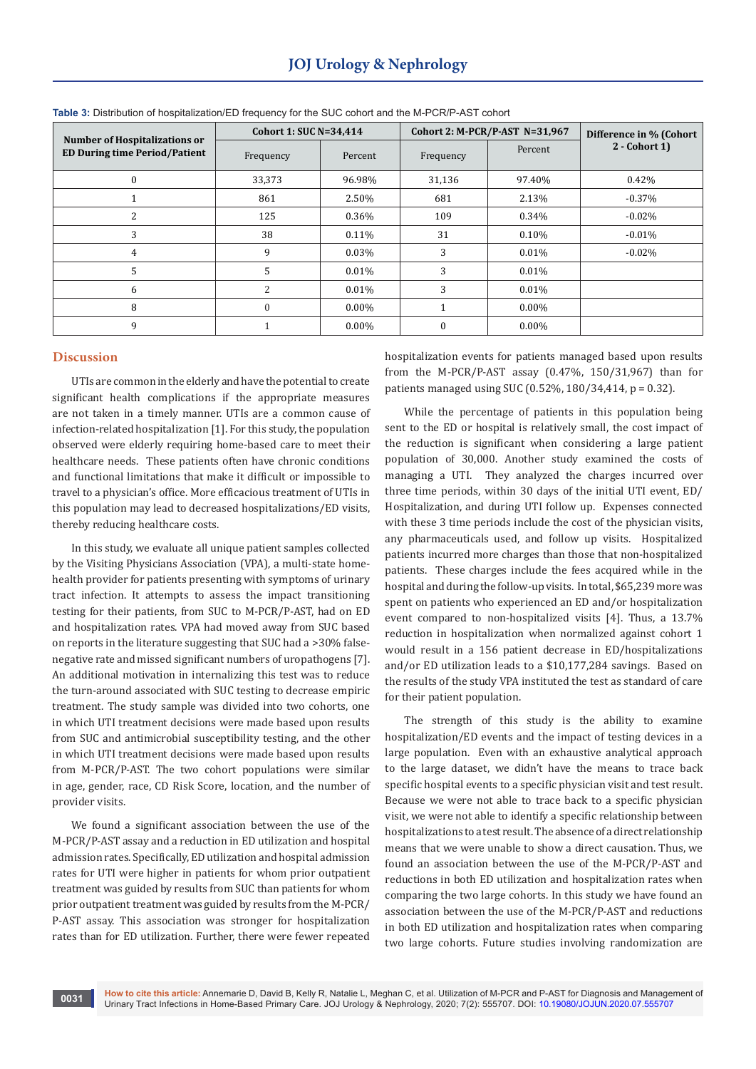| <b>Number of Hospitalizations or</b><br><b>ED During time Period/Patient</b> | <b>Cohort 1: SUC N=34,414</b> |          | Cohort 2: M-PCR/P-AST N=31,967 |          | Difference in % (Cohort |
|------------------------------------------------------------------------------|-------------------------------|----------|--------------------------------|----------|-------------------------|
|                                                                              | Frequency                     | Percent  | Frequency                      | Percent  | $2 - \text{Cohort 1}$   |
| $\theta$                                                                     | 33,373                        | 96.98%   | 31,136                         | 97.40%   | 0.42%                   |
|                                                                              | 861                           | 2.50%    | 681                            | 2.13%    | $-0.37%$                |
| 2                                                                            | 125                           | 0.36%    | 109                            | 0.34%    | $-0.02\%$               |
| 3                                                                            | 38                            | 0.11%    | 31                             | 0.10%    | $-0.01%$                |
| 4                                                                            | 9                             | 0.03%    | 3                              | 0.01%    | $-0.02\%$               |
| 5                                                                            | 5                             | 0.01%    | 3                              | 0.01%    |                         |
| 6                                                                            | $\overline{2}$                | 0.01%    | 3                              | 0.01%    |                         |
| 8                                                                            | $\theta$                      | $0.00\%$ |                                | $0.00\%$ |                         |
| 9                                                                            |                               | $0.00\%$ | $\Omega$                       | $0.00\%$ |                         |

**Table 3:** Distribution of hospitalization/ED frequency for the SUC cohort and the M-PCR/P-AST cohort

#### **Discussion**

UTIs are common in the elderly and have the potential to create significant health complications if the appropriate measures are not taken in a timely manner. UTIs are a common cause of infection-related hospitalization [1]. For this study, the population observed were elderly requiring home-based care to meet their healthcare needs. These patients often have chronic conditions and functional limitations that make it difficult or impossible to travel to a physician's office. More efficacious treatment of UTIs in this population may lead to decreased hospitalizations/ED visits, thereby reducing healthcare costs.

In this study, we evaluate all unique patient samples collected by the Visiting Physicians Association (VPA), a multi-state homehealth provider for patients presenting with symptoms of urinary tract infection. It attempts to assess the impact transitioning testing for their patients, from SUC to M-PCR/P-AST, had on ED and hospitalization rates. VPA had moved away from SUC based on reports in the literature suggesting that SUC had a >30% falsenegative rate and missed significant numbers of uropathogens [7]. An additional motivation in internalizing this test was to reduce the turn-around associated with SUC testing to decrease empiric treatment. The study sample was divided into two cohorts, one in which UTI treatment decisions were made based upon results from SUC and antimicrobial susceptibility testing, and the other in which UTI treatment decisions were made based upon results from M-PCR/P-AST. The two cohort populations were similar in age, gender, race, CD Risk Score, location, and the number of provider visits.

We found a significant association between the use of the M-PCR/P-AST assay and a reduction in ED utilization and hospital admission rates. Specifically, ED utilization and hospital admission rates for UTI were higher in patients for whom prior outpatient treatment was guided by results from SUC than patients for whom prior outpatient treatment was guided by results from the M-PCR/ P-AST assay. This association was stronger for hospitalization rates than for ED utilization. Further, there were fewer repeated

hospitalization events for patients managed based upon results from the M-PCR/P-AST assay (0.47%, 150/31,967) than for patients managed using SUC (0.52%, 180/34,414, p = 0.32).

While the percentage of patients in this population being sent to the ED or hospital is relatively small, the cost impact of the reduction is significant when considering a large patient population of 30,000. Another study examined the costs of managing a UTI. They analyzed the charges incurred over three time periods, within 30 days of the initial UTI event, ED/ Hospitalization, and during UTI follow up. Expenses connected with these 3 time periods include the cost of the physician visits, any pharmaceuticals used, and follow up visits. Hospitalized patients incurred more charges than those that non-hospitalized patients. These charges include the fees acquired while in the hospital and during the follow-up visits. In total, \$65,239 more was spent on patients who experienced an ED and/or hospitalization event compared to non-hospitalized visits [4]. Thus, a 13.7% reduction in hospitalization when normalized against cohort 1 would result in a 156 patient decrease in ED/hospitalizations and/or ED utilization leads to a \$10,177,284 savings. Based on the results of the study VPA instituted the test as standard of care for their patient population.

The strength of this study is the ability to examine hospitalization/ED events and the impact of testing devices in a large population. Even with an exhaustive analytical approach to the large dataset, we didn't have the means to trace back specific hospital events to a specific physician visit and test result. Because we were not able to trace back to a specific physician visit, we were not able to identify a specific relationship between hospitalizations to a test result. The absence of a direct relationship means that we were unable to show a direct causation. Thus, we found an association between the use of the M-PCR/P-AST and reductions in both ED utilization and hospitalization rates when comparing the two large cohorts. In this study we have found an association between the use of the M-PCR/P-AST and reductions in both ED utilization and hospitalization rates when comparing two large cohorts. Future studies involving randomization are